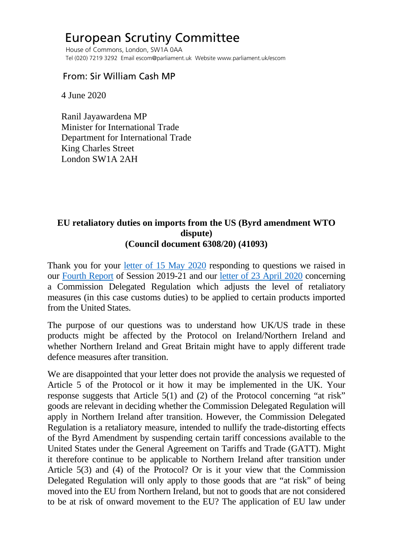## European Scrutiny Committee

 House of Commons, London, SW1A 0AA Tel (020) 7219 3292 Email escom@parliament.uk Website www.parliament.uk/escom

## From: Sir William Cash MP

4 June 2020

 Ranil Jayawardena MP Minister for International Trade Department for International Trade King Charles Street London SW1A 2AH

## **EU retaliatory duties on imports from the US (Byrd amendment WTO dispute) (Council document 6308/20) (41093)**

Thank you for your [letter of 15 May 2020](http://europeanmemoranda.cabinetoffice.gov.uk/files/2020/05/Letter_from_Minister_Jayawardena_to_ESC_Chair_15.05_.2020_.pdf) responding to questions we raised in our [Fourth Report](https://publications.parliament.uk/pa/cm5801/cmselect/cmeuleg/229-ii/22914.htm#_idTextAnchor058) of Session 2019-21 and our [letter of 23 April 2020](https://committees.parliament.uk/publications/792/documents/4926/default/) concerning a Commission Delegated Regulation which adjusts the level of retaliatory measures (in this case customs duties) to be applied to certain products imported from the United States.

The purpose of our questions was to understand how UK/US trade in these products might be affected by the Protocol on Ireland/Northern Ireland and whether Northern Ireland and Great Britain might have to apply different trade defence measures after transition.

We are disappointed that your letter does not provide the analysis we requested of Article 5 of the Protocol or it how it may be implemented in the UK. Your response suggests that Article 5(1) and (2) of the Protocol concerning "at risk" goods are relevant in deciding whether the Commission Delegated Regulation will apply in Northern Ireland after transition. However, the Commission Delegated Regulation is a retaliatory measure, intended to nullify the trade-distorting effects of the Byrd Amendment by suspending certain tariff concessions available to the United States under the General Agreement on Tariffs and Trade (GATT). Might it therefore continue to be applicable to Northern Ireland after transition under Article 5(3) and (4) of the Protocol? Or is it your view that the Commission Delegated Regulation will only apply to those goods that are "at risk" of being moved into the EU from Northern Ireland, but not to goods that are not considered to be at risk of onward movement to the EU? The application of EU law under